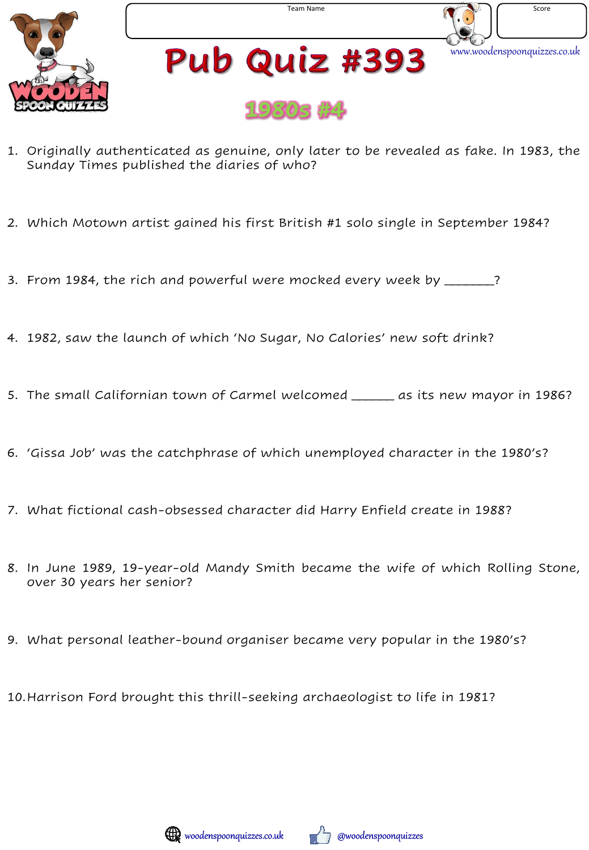



- 1. Originally authenticated as genuine, only later to be revealed as fake. In 1983, the Sunday Times published the diaries of who?
- 2. Which Motown artist gained his first British #1 solo single in September 1984?
- 3. From 1984, the rich and powerful were mocked every week by \_\_\_\_\_\_?
- 4. 1982, saw the launch of which 'No Sugar, No Calories' new soft drink?
- 5. The small Californian town of Carmel welcomed \_\_\_\_\_\_ as its new mayor in 1986?
- 6. 'Gissa Job' was the catchphrase of which unemployed character in the 1980's?
- 7. What fictional cash-obsessed character did Harry Enfield create in 1988?
- 8. In June 1989, 19-year-old Mandy Smith became the wife of which Rolling Stone, over 30 years her senior?
- 9. What personal leather-bound organiser became very popular in the 1980's?

10.Harrison Ford brought this thrill-seeking archaeologist to life in 1981?